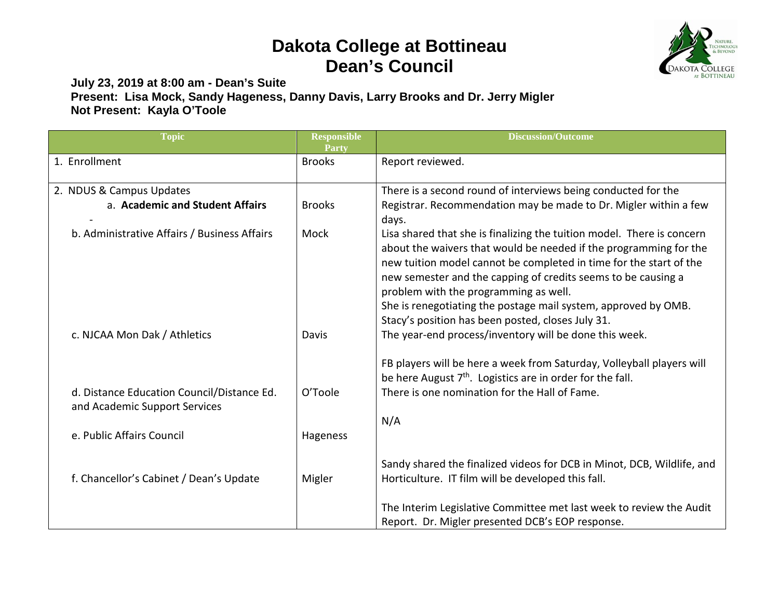## **Dakota College at Bottineau Dean's Council**



**July 23, 2019 at 8:00 am - Dean's Suite Present: Lisa Mock, Sandy Hageness, Danny Davis, Larry Brooks and Dr. Jerry Migler Not Present: Kayla O'Toole**

| <b>Topic</b>                                                                | <b>Responsible</b><br><b>Party</b> | <b>Discussion/Outcome</b>                                                                                                                                                                                                                                                                                                                                                                     |
|-----------------------------------------------------------------------------|------------------------------------|-----------------------------------------------------------------------------------------------------------------------------------------------------------------------------------------------------------------------------------------------------------------------------------------------------------------------------------------------------------------------------------------------|
| 1. Enrollment                                                               | <b>Brooks</b>                      | Report reviewed.                                                                                                                                                                                                                                                                                                                                                                              |
| 2. NDUS & Campus Updates                                                    |                                    | There is a second round of interviews being conducted for the                                                                                                                                                                                                                                                                                                                                 |
| a. Academic and Student Affairs                                             | <b>Brooks</b>                      | Registrar. Recommendation may be made to Dr. Migler within a few<br>days.                                                                                                                                                                                                                                                                                                                     |
| b. Administrative Affairs / Business Affairs                                | Mock                               | Lisa shared that she is finalizing the tuition model. There is concern<br>about the waivers that would be needed if the programming for the<br>new tuition model cannot be completed in time for the start of the<br>new semester and the capping of credits seems to be causing a<br>problem with the programming as well.<br>She is renegotiating the postage mail system, approved by OMB. |
| c. NJCAA Mon Dak / Athletics                                                | Davis                              | Stacy's position has been posted, closes July 31.<br>The year-end process/inventory will be done this week.                                                                                                                                                                                                                                                                                   |
| d. Distance Education Council/Distance Ed.<br>and Academic Support Services | O'Toole                            | FB players will be here a week from Saturday, Volleyball players will<br>be here August 7 <sup>th</sup> . Logistics are in order for the fall.<br>There is one nomination for the Hall of Fame.<br>N/A                                                                                                                                                                                        |
| e. Public Affairs Council                                                   | Hageness                           |                                                                                                                                                                                                                                                                                                                                                                                               |
| f. Chancellor's Cabinet / Dean's Update                                     | Migler                             | Sandy shared the finalized videos for DCB in Minot, DCB, Wildlife, and<br>Horticulture. IT film will be developed this fall.                                                                                                                                                                                                                                                                  |
|                                                                             |                                    | The Interim Legislative Committee met last week to review the Audit<br>Report. Dr. Migler presented DCB's EOP response.                                                                                                                                                                                                                                                                       |